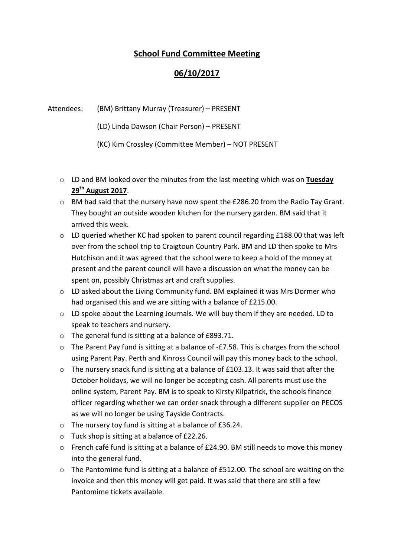## School Fund Committee Meeting

## 06/10/2017

## Attendees: (BM) Brittany Murray (Treasurer) – PRESENT

(LD) Linda Dawson (Chair Person) – PRESENT

(KC) Kim Crossley (Committee Member) – NOT PRESENT

- o LD and BM looked over the minutes from the last meeting which was on Tuesday  $29<sup>th</sup>$  August 2017.
- o BM had said that the nursery have now spent the £286.20 from the Radio Tay Grant. They bought an outside wooden kitchen for the nursery garden. BM said that it arrived this week.
- $\circ$  LD queried whether KC had spoken to parent council regarding £188.00 that was left over from the school trip to Craigtoun Country Park. BM and LD then spoke to Mrs Hutchison and it was agreed that the school were to keep a hold of the money at present and the parent council will have a discussion on what the money can be spent on, possibly Christmas art and craft supplies.
- $\circ$  LD asked about the Living Community fund. BM explained it was Mrs Dormer who had organised this and we are sitting with a balance of £215.00.
- $\circ$  LD spoke about the Learning Journals. We will buy them if they are needed. LD to speak to teachers and nursery.
- o The general fund is sitting at a balance of £893.71.
- o The Parent Pay fund is sitting at a balance of -£7.58. This is charges from the school using Parent Pay. Perth and Kinross Council will pay this money back to the school.
- o The nursery snack fund is sitting at a balance of £103.13. It was said that after the October holidays, we will no longer be accepting cash. All parents must use the online system, Parent Pay. BM is to speak to Kirsty Kilpatrick, the schools finance officer regarding whether we can order snack through a different supplier on PECOS as we will no longer be using Tayside Contracts.
- o The nursery toy fund is sitting at a balance of £36.24.
- o Tuck shop is sitting at a balance of £22.26.
- o French café fund is sitting at a balance of £24.90. BM still needs to move this money into the general fund.
- $\circ$  The Pantomime fund is sitting at a balance of £512.00. The school are waiting on the invoice and then this money will get paid. It was said that there are still a few Pantomime tickets available.